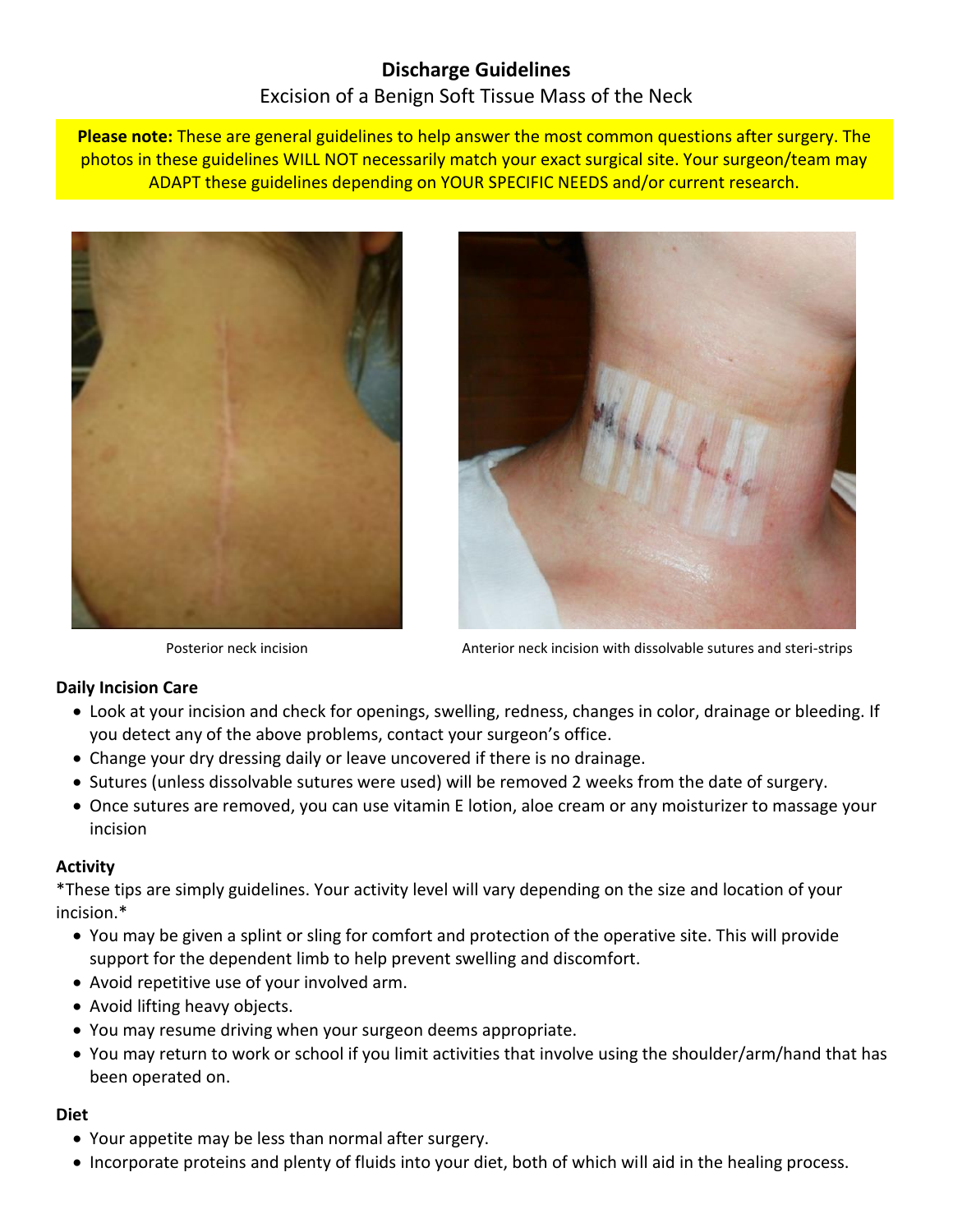# **Discharge Guidelines** Excision of a Benign Soft Tissue Mass of the Neck

**Please note:** These are general guidelines to help answer the most common questions after surgery. The photos in these guidelines WILL NOT necessarily match your exact surgical site. Your surgeon/team may ADAPT these guidelines depending on YOUR SPECIFIC NEEDS and/or current research.





Posterior neck incision Anterior neck incision with dissolvable sutures and steri-strips

## **Daily Incision Care**

- Look at your incision and check for openings, swelling, redness, changes in color, drainage or bleeding. If you detect any of the above problems, contact your surgeon's office.
- Change your dry dressing daily or leave uncovered if there is no drainage.
- Sutures (unless dissolvable sutures were used) will be removed 2 weeks from the date of surgery.
- Once sutures are removed, you can use vitamin E lotion, aloe cream or any moisturizer to massage your incision

## **Activity**

\*These tips are simply guidelines. Your activity level will vary depending on the size and location of your incision.\*

- You may be given a splint or sling for comfort and protection of the operative site. This will provide support for the dependent limb to help prevent swelling and discomfort.
- Avoid repetitive use of your involved arm.
- Avoid lifting heavy objects.
- You may resume driving when your surgeon deems appropriate.
- You may return to work or school if you limit activities that involve using the shoulder/arm/hand that has been operated on.

## **Diet**

- Your appetite may be less than normal after surgery.
- Incorporate proteins and plenty of fluids into your diet, both of which will aid in the healing process.